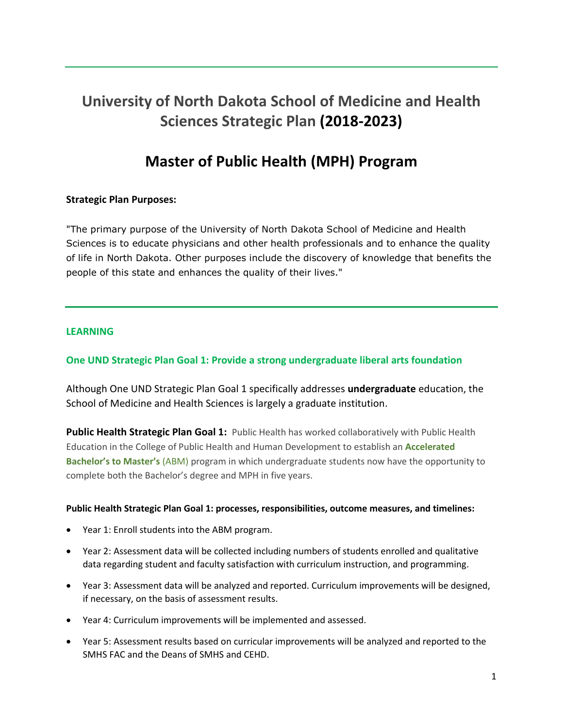# **University of North Dakota School of Medicine and Health Sciences Strategic Plan (2018-2023)**

# **Master of Public Health (MPH) Program**

# **Strategic Plan Purposes:**

"The primary purpose of the University of North Dakota School of Medicine and Health Sciences is to educate physicians and other health professionals and to enhance the quality of life in North Dakota. Other purposes include the discovery of knowledge that benefits the people of this state and enhances the quality of their lives."

## **LEARNING**

# **One UND Strategic Plan Goal 1: Provide a strong undergraduate liberal arts foundation**

Although One UND Strategic Plan Goal 1 specifically addresses **undergraduate** education, the School of Medicine and Health Sciences is largely a graduate institution.

**Public Health Strategic Plan Goal 1:** Public Health has worked collaboratively with Public Health Education in the College of Public Health and Human Development to establish an **Accelerated Bachelor's to Master's** (ABM) program in which undergraduate students now have the opportunity to complete both the Bachelor's degree and MPH in five years.

#### **Public Health Strategic Plan Goal 1: processes, responsibilities, outcome measures, and timelines:**

- Year 1: Enroll students into the ABM program.
- Year 2: Assessment data will be collected including numbers of students enrolled and qualitative data regarding student and faculty satisfaction with curriculum instruction, and programming.
- Year 3: Assessment data will be analyzed and reported. Curriculum improvements will be designed, if necessary, on the basis of assessment results.
- Year 4: Curriculum improvements will be implemented and assessed.
- Year 5: Assessment results based on curricular improvements will be analyzed and reported to the SMHS FAC and the Deans of SMHS and CEHD.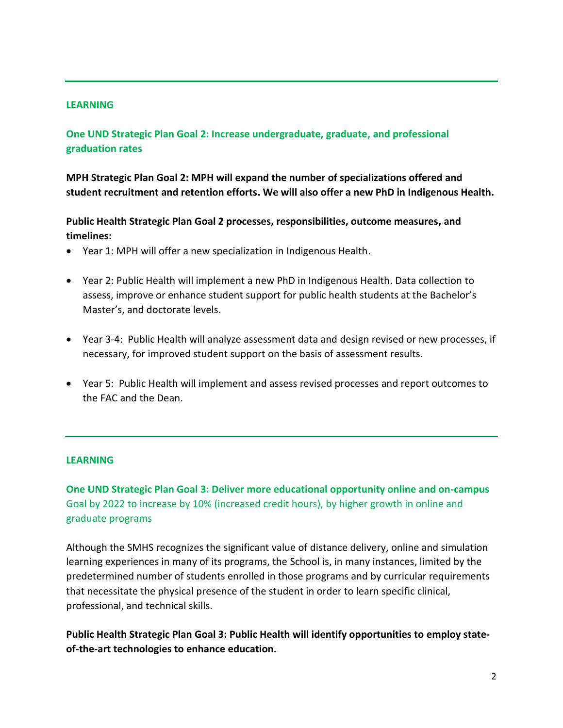### **LEARNING**

# **One UND Strategic Plan Goal 2: Increase undergraduate, graduate, and professional graduation rates**

**MPH Strategic Plan Goal 2: MPH will expand the number of specializations offered and student recruitment and retention efforts. We will also offer a new PhD in Indigenous Health.**

**Public Health Strategic Plan Goal 2 processes, responsibilities, outcome measures, and timelines:**

- Year 1: MPH will offer a new specialization in Indigenous Health.
- Year 2: Public Health will implement a new PhD in Indigenous Health. Data collection to assess, improve or enhance student support for public health students at the Bachelor's Master's, and doctorate levels.
- Year 3-4: Public Health will analyze assessment data and design revised or new processes, if necessary, for improved student support on the basis of assessment results.
- Year 5: Public Health will implement and assess revised processes and report outcomes to the FAC and the Dean.

#### **LEARNING**

**One UND Strategic Plan Goal 3: Deliver more educational opportunity online and on-campus** Goal by 2022 to increase by 10% (increased credit hours), by higher growth in online and graduate programs

Although the SMHS recognizes the significant value of distance delivery, online and simulation learning experiences in many of its programs, the School is, in many instances, limited by the predetermined number of students enrolled in those programs and by curricular requirements that necessitate the physical presence of the student in order to learn specific clinical, professional, and technical skills.

**Public Health Strategic Plan Goal 3: Public Health will identify opportunities to employ stateof-the-art technologies to enhance education.**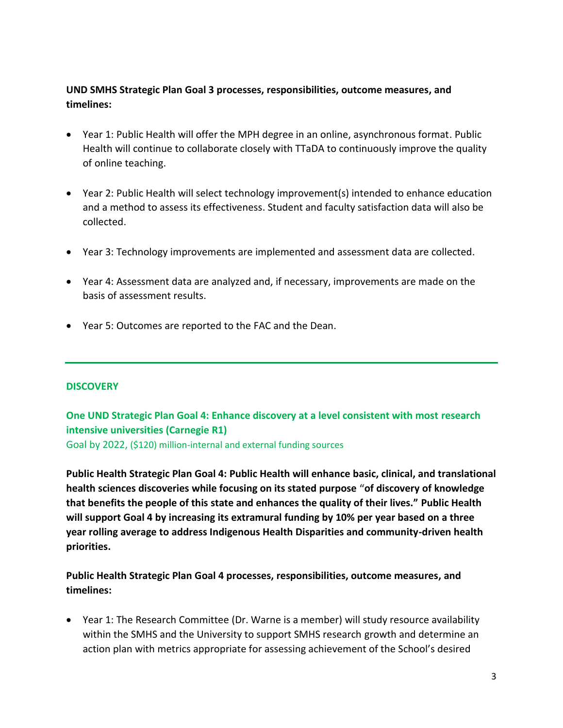# **UND SMHS Strategic Plan Goal 3 processes, responsibilities, outcome measures, and timelines:**

- Year 1: Public Health will offer the MPH degree in an online, asynchronous format. Public Health will continue to collaborate closely with TTaDA to continuously improve the quality of online teaching.
- Year 2: Public Health will select technology improvement(s) intended to enhance education and a method to assess its effectiveness. Student and faculty satisfaction data will also be collected.
- Year 3: Technology improvements are implemented and assessment data are collected.
- Year 4: Assessment data are analyzed and, if necessary, improvements are made on the basis of assessment results.
- Year 5: Outcomes are reported to the FAC and the Dean.

## **DISCOVERY**

# **One UND Strategic Plan Goal 4: Enhance discovery at a level consistent with most research intensive universities (Carnegie R1)**

Goal by 2022, (\$120) million-internal and external funding sources

**Public Health Strategic Plan Goal 4: Public Health will enhance basic, clinical, and translational health sciences discoveries while focusing on its stated purpose "of discovery of knowledge that benefits the people of this state and enhances the quality of their lives." Public Health will support Goal 4 by increasing its extramural funding by 10% per year based on a three year rolling average to address Indigenous Health Disparities and community-driven health priorities.**

**Public Health Strategic Plan Goal 4 processes, responsibilities, outcome measures, and timelines:**

• Year 1: The Research Committee (Dr. Warne is a member) will study resource availability within the SMHS and the University to support SMHS research growth and determine an action plan with metrics appropriate for assessing achievement of the School's desired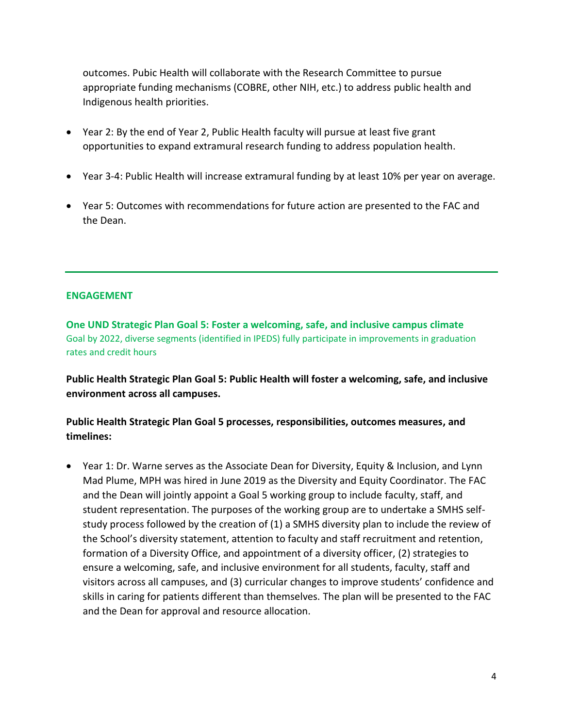outcomes. Pubic Health will collaborate with the Research Committee to pursue appropriate funding mechanisms (COBRE, other NIH, etc.) to address public health and Indigenous health priorities.

- Year 2: By the end of Year 2, Public Health faculty will pursue at least five grant opportunities to expand extramural research funding to address population health.
- Year 3-4: Public Health will increase extramural funding by at least 10% per year on average.
- Year 5: Outcomes with recommendations for future action are presented to the FAC and the Dean.

## **ENGAGEMENT**

**One UND Strategic Plan Goal 5: Foster a welcoming, safe, and inclusive campus climate** Goal by 2022, diverse segments (identified in IPEDS) fully participate in improvements in graduation rates and credit hours

**Public Health Strategic Plan Goal 5: Public Health will foster a welcoming, safe, and inclusive environment across all campuses.**

**Public Health Strategic Plan Goal 5 processes, responsibilities, outcomes measures, and timelines:**

• Year 1: Dr. Warne serves as the Associate Dean for Diversity, Equity & Inclusion, and Lynn Mad Plume, MPH was hired in June 2019 as the Diversity and Equity Coordinator. The FAC and the Dean will jointly appoint a Goal 5 working group to include faculty, staff, and student representation. The purposes of the working group are to undertake a SMHS selfstudy process followed by the creation of (1) a SMHS diversity plan to include the review of the School's diversity statement, attention to faculty and staff recruitment and retention, formation of a Diversity Office, and appointment of a diversity officer, (2) strategies to ensure a welcoming, safe, and inclusive environment for all students, faculty, staff and visitors across all campuses, and (3) curricular changes to improve students' confidence and skills in caring for patients different than themselves. The plan will be presented to the FAC and the Dean for approval and resource allocation.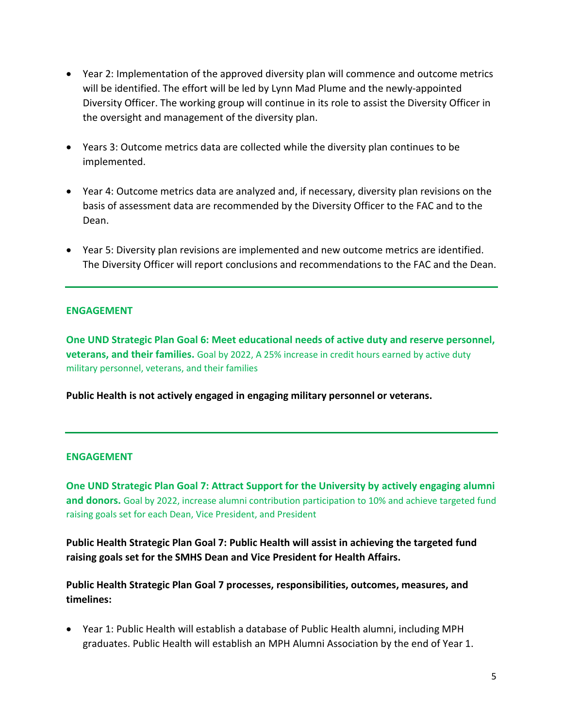- Year 2: Implementation of the approved diversity plan will commence and outcome metrics will be identified. The effort will be led by Lynn Mad Plume and the newly-appointed Diversity Officer. The working group will continue in its role to assist the Diversity Officer in the oversight and management of the diversity plan.
- Years 3: Outcome metrics data are collected while the diversity plan continues to be implemented.
- Year 4: Outcome metrics data are analyzed and, if necessary, diversity plan revisions on the basis of assessment data are recommended by the Diversity Officer to the FAC and to the Dean.
- Year 5: Diversity plan revisions are implemented and new outcome metrics are identified. The Diversity Officer will report conclusions and recommendations to the FAC and the Dean.

## **ENGAGEMENT**

**One UND Strategic Plan Goal 6: Meet educational needs of active duty and reserve personnel, veterans, and their families.** Goal by 2022, A 25% increase in credit hours earned by active duty military personnel, veterans, and their families

**Public Health is not actively engaged in engaging military personnel or veterans.** 

#### **ENGAGEMENT**

**One UND Strategic Plan Goal 7: Attract Support for the University by actively engaging alumni and donors.** Goal by 2022, increase alumni contribution participation to 10% and achieve targeted fund raising goals set for each Dean, Vice President, and President

**Public Health Strategic Plan Goal 7: Public Health will assist in achieving the targeted fund raising goals set for the SMHS Dean and Vice President for Health Affairs.**

**Public Health Strategic Plan Goal 7 processes, responsibilities, outcomes, measures, and timelines:**

• Year 1: Public Health will establish a database of Public Health alumni, including MPH graduates. Public Health will establish an MPH Alumni Association by the end of Year 1.